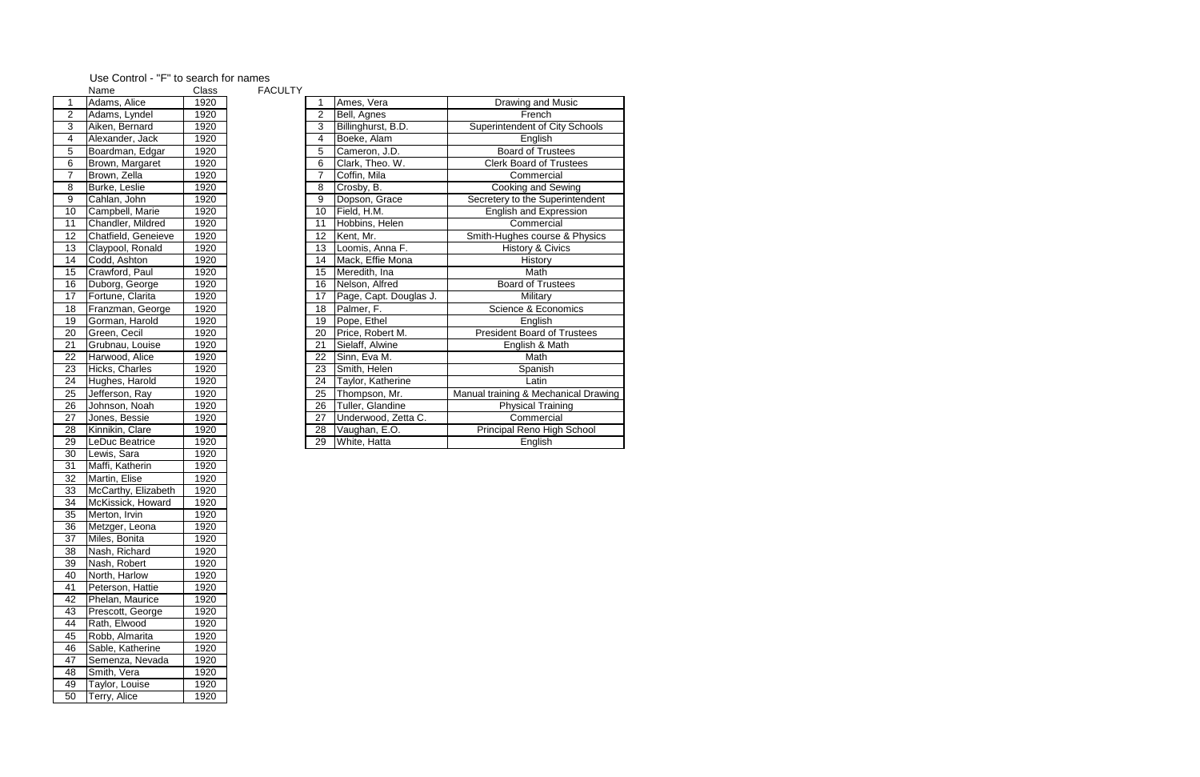| Name<br>Class<br><b>FACULIY</b> |                     |      |  |    |                        |                                      |
|---------------------------------|---------------------|------|--|----|------------------------|--------------------------------------|
| $\overline{1}$                  | Adams, Alice        | 1920 |  |    | Ames, Vera             | Drawing and Music                    |
| $\overline{2}$                  | Adams, Lyndel       | 1920 |  | 2  | Bell, Agnes            | French                               |
| 3                               | Aiken, Bernard      | 1920 |  | 3  | Billinghurst, B.D.     | Superintendent of City Schools       |
| $\overline{\mathbf{4}}$         | Alexander, Jack     | 1920 |  | 4  | Boeke, Alam            | English                              |
| 5                               | Boardman, Edgar     | 1920 |  | 5  | Cameron, J.D.          | <b>Board of Trustees</b>             |
| $\overline{6}$                  | Brown, Margaret     | 1920 |  | 6  | Clark, Theo. W.        | <b>Clerk Board of Trustees</b>       |
| $\overline{7}$                  | Brown, Zella        | 1920 |  | 7  | Coffin, Mila           | Commercial                           |
| $\overline{8}$                  | Burke, Leslie       | 1920 |  | 8  | Crosby, B.             | Cooking and Sewing                   |
| $\boldsymbol{9}$                | Cahlan, John        | 1920 |  | 9  | Dopson, Grace          | Secretery to the Superintendent      |
| $\overline{10}$                 | Campbell, Marie     | 1920 |  | 10 | Field, H.M.            | English and Expression               |
| 11                              | Chandler, Mildred   | 1920 |  | 11 | Hobbins, Helen         | Commercial                           |
| $\overline{12}$                 | Chatfield, Geneieve | 1920 |  | 12 | Kent, Mr.              | Smith-Hughes course & Physics        |
| 13                              | Claypool, Ronald    | 1920 |  | 13 | Loomis, Anna F.        | <b>History &amp; Civics</b>          |
| 14                              | Codd, Ashton        | 1920 |  | 14 | Mack, Effie Mona       | History                              |
| 15                              | Crawford, Paul      | 1920 |  | 15 | Meredith, Ina          | Math                                 |
| 16                              | Duborg, George      | 1920 |  | 16 | Nelson, Alfred         | <b>Board of Trustees</b>             |
| $\overline{17}$                 | Fortune, Clarita    | 1920 |  | 17 | Page, Capt. Douglas J. | Military                             |
| $\overline{18}$                 | Franzman, George    | 1920 |  | 18 | Palmer, F.             | Science & Economics                  |
| $\overline{19}$                 | Gorman, Harold      | 1920 |  | 19 | Pope, Ethel            | English                              |
| $\overline{20}$                 | Green, Cecil        | 1920 |  | 20 | Price, Robert M.       | <b>President Board of Trustees</b>   |
| $\overline{21}$                 | Grubnau, Louise     | 1920 |  | 21 | Sielaff, Alwine        | English & Math                       |
| 22<br>23                        | Harwood, Alice      | 1920 |  | 22 | Sinn, Eva M.           | Math                                 |
|                                 | Hicks, Charles      | 1920 |  | 23 | Smith, Helen           | Spanish                              |
| $\frac{24}{25}$                 | Hughes, Harold      | 1920 |  | 24 | Taylor, Katherine      | Latin                                |
|                                 | Jefferson, Ray      | 1920 |  | 25 | Thompson, Mr.          | Manual training & Mechanical Drawing |
| $\frac{26}{}$                   | Johnson, Noah       | 1920 |  | 26 | Tuller, Glandine       | Physical Training                    |
| $\overline{27}$                 | Jones, Bessie       | 1920 |  | 27 | Underwood, Zetta C.    | Commercial                           |
| 28                              | Kinnikin, Clare     | 1920 |  | 28 | Vaughan, E.O.          | Principal Reno High School           |
| 29                              | LeDuc Beatrice      | 1920 |  | 29 | White, Hatta           | English                              |

|                 | Name                | Class | <b>FACULTY</b> |
|-----------------|---------------------|-------|----------------|
| 1               | Adams, Alice        | 1920  |                |
| $\overline{2}$  | Adams, Lyndel       | 1920  |                |
| 3               | Aiken, Bernard      | 1920  |                |
| 4               | Alexander, Jack     | 1920  |                |
| $\overline{5}$  | Boardman, Edgar     | 1920  |                |
| $\overline{6}$  | Brown, Margaret     | 1920  |                |
| $\overline{7}$  | Brown, Zella        | 1920  |                |
| 8               | Burke, Leslie       | 1920  |                |
| 9               | Cahlan, John        | 1920  |                |
| 10              | Campbell, Marie     | 1920  |                |
| 11              | Chandler, Mildred   | 1920  |                |
| 12              | Chatfield, Geneieve | 1920  |                |
| 13              | Claypool, Ronald    | 1920  |                |
| 14              | Codd, Ashton        | 1920  |                |
| 15              | Crawford, Paul      | 1920  |                |
| 16              | Duborg, George      | 1920  |                |
| 17              | Fortune, Clarita    | 1920  |                |
| 18              | Franzman, George    | 1920  |                |
| 19              | Gorman, Harold      | 1920  |                |
| 20              | Green, Cecil        | 1920  |                |
| 21              | Grubnau, Louise     | 1920  |                |
| $\overline{22}$ | Harwood, Alice      | 1920  |                |
| 23              | Hicks, Charles      | 1920  |                |
| 24              | Hughes, Harold      | 1920  |                |
| 25              | Jefferson, Ray      | 1920  |                |
| 26              | Johnson, Noah       | 1920  |                |
| 27              | Jones, Bessie       | 1920  |                |
| 28              | Kinnikin, Clare     | 1920  |                |
| 29              | LeDuc Beatrice      | 1920  |                |
| 30              | Lewis, Sara         | 1920  |                |
| 31              | Maffi, Katherin     | 1920  |                |
| 32              | Martin, Elise       | 1920  |                |
| 33              | McCarthy, Elizabeth | 1920  |                |
| $\overline{3}4$ | McKissick, Howard   | 1920  |                |
| 35              | Merton, Irvin       | 1920  |                |
| $\overline{36}$ | Metzger, Leona      | 1920  |                |
| 37              | Miles, Bonita       | 1920  |                |
| 38              | Nash, Richard       | 1920  |                |
| 39              | Nash, Robert        | 1920  |                |
| 40              | North, Harlow       | 1920  |                |
| 41              | Peterson, Hattie    | 1920  |                |
| 42              | Phelan, Maurice     | 1920  |                |
| 43              | Prescott, George    | 1920  |                |
| 44              | Rath, Elwood        | 1920  |                |
| 45              | Robb, Almarita      | 1920  |                |
| 46              | Sable, Katherine    | 1920  |                |
| 47              | Semenza, Nevada     | 1920  |                |
| 48              | Smith, Vera         | 1920  |                |
| 49              | Taylor, Louise      | 1920  |                |
| 50              | Terry, Alice        | 1920  |                |
|                 |                     |       |                |

## Use Control - "F" to search for names